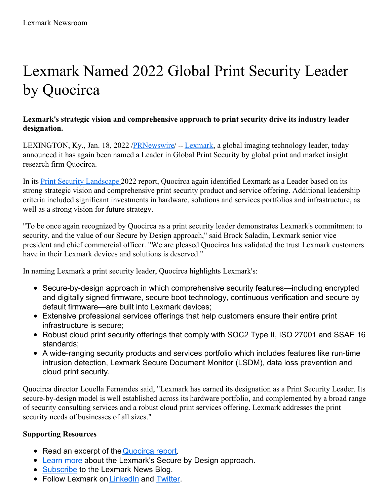# Lexmark Named 2022 Global Print Security Leader by Quocirca

## **Lexmark's strategic vision and comprehensive approach to print security drive its industry leader designation.**

LEXINGTON, Ky., Jan. 18, 2022 /*PRNewswire*/ -- [Lexmark](https://c212.net/c/link/?t=0&l=en&o=3416001-1&h=3641441420&u=https%3A%2F%2Fwww.lexmark.com%2Fen_gb.html&a=Lexmark), a global imaging technology leader, today announced it has again been named a Leader in Global Print Security by global print and market insight research firm Quocirca.

In its Print Security [Landscape](https://c212.net/c/link/?t=0&l=en&o=3416001-1&h=2249979881&u=https%3A%2F%2Fwww.lexmark.com%2Fen_us%2Fanalyst-insights%2Freport-quocirca-print-security-landscape-2022.html&a=Print+Security+Landscape+) 2022 report, Quocirca again identified Lexmark as a Leader based on its strong strategic vision and comprehensive print security product and service offering. Additional leadership criteria included significant investments in hardware, solutions and services portfolios and infrastructure, as well as a strong vision for future strategy.

"To be once again recognized by Quocirca as a print security leader demonstrates Lexmark's commitment to security, and the value of our Secure by Design approach," said Brock Saladin, Lexmark senior vice president and chief commercial officer. "We are pleased Quocirca has validated the trust Lexmark customers have in their Lexmark devices and solutions is deserved."

In naming Lexmark a print security leader, Quocirca highlights Lexmark's:

- Secure-by-design approach in which comprehensive security features—including encrypted and digitally signed firmware, secure boot technology, continuous verification and secure by default firmware—are built into Lexmark devices;
- Extensive professional services offerings that help customers ensure their entire print infrastructure is secure;
- Robust cloud print security offerings that comply with SOC2 Type II, ISO 27001 and SSAE 16 standards;
- A wide-ranging security products and services portfolio which includes features like run-time intrusion detection, Lexmark Secure Document Monitor (LSDM), data loss prevention and cloud print security.

Quocirca director Louella Fernandes said, "Lexmark has earned its designation as a Print Security Leader. Its secure-by-design model is well established across its hardware portfolio, and complemented by a broad range of security consulting services and a robust cloud print services offering. Lexmark addresses the print security needs of businesses of all sizes."

## **Supporting Resources**

- Read an excerpt of the [Quocirca](https://c212.net/c/link/?t=0&l=en&o=3416001-1&h=1733460228&u=https%3A%2F%2Fwww.lexmark.com%2Fen_us%2Fanalyst-insights%2Freport-quocirca-print-security-landscape-2022.html&a=Quocirca+report) report.
- [Learn](https://c212.net/c/link/?t=0&l=en&o=3416001-1&h=2189001669&u=https%3A%2F%2Fwww.lexmark.com%2Fen_us%2Fsolutions%2Fsecure-by-design.html&a=Learn+more) more about the Lexmark's Secure by Design approach.
- [Subscribe](https://c212.net/c/link/?t=0&l=en&o=3416001-1&h=4121191601&u=https%3A%2F%2Fwww.lexmark.com%2Fen_us%2Flexmark-blog.html&a=Subscribe) to the Lexmark News Blog.
- Follow Lexmark on [LinkedIn](https://c212.net/c/link/?t=0&l=en&o=3416001-1&h=4280422596&u=https%3A%2F%2Fwww.linkedin.com%2Fcompany%2Flexmark%2F&a=LinkedIn) and [Twitter](https://c212.net/c/link/?t=0&l=en&o=3416001-1&h=2182631649&u=https%3A%2F%2Ftwitter.com%2Flexmark&a=Twitter).